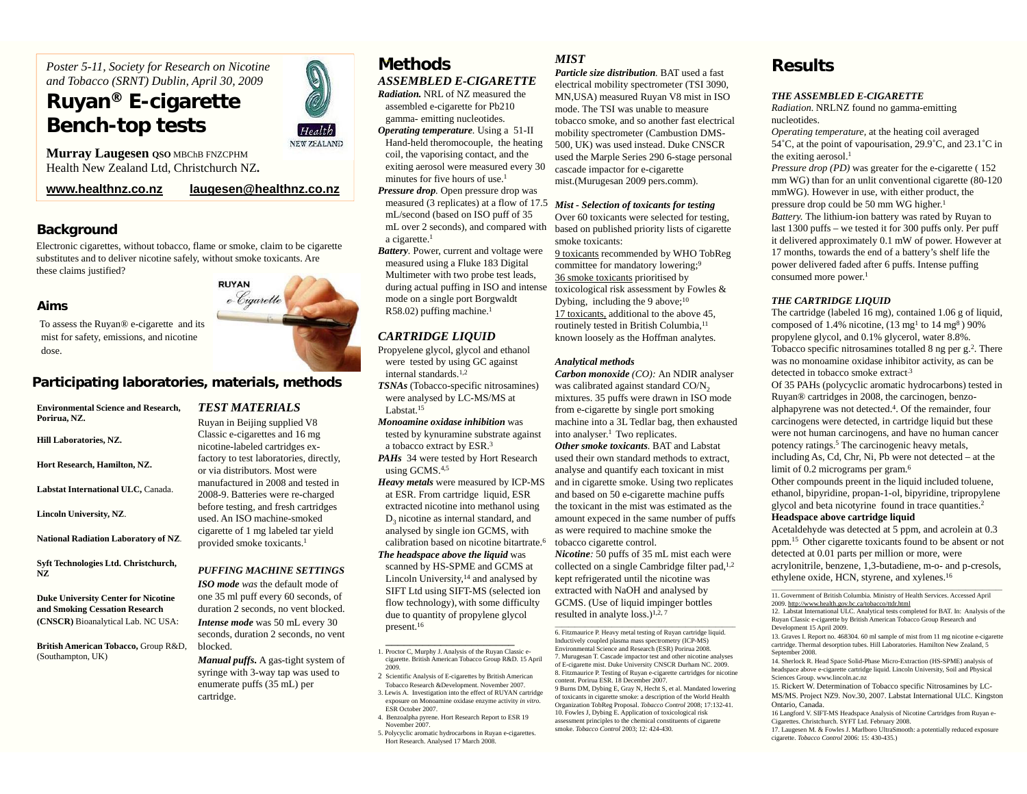*Poster 5-11, Society for Research on Nicotine and Tobacco (SRNT) Dublin, April 30, 2009*

# **Ruyan ® E-cigarette Bench-top tests**

**Murray Laugesen QSO MBChB FNZCPHM** Health New Zealand Ltd, Christchurch NZ**.** 

**www.healthnz.co.nz**

#### **laugesen@healthnz.co.nz**

Health NEW ZEALAND

### **Background**

Electronic cigarettes, without tobacco, flame or smoke, claim to be cigarette substitutes and to deliver nicotine safely, without smoke toxicants. Are these claims justified?

#### **Aims**

To assess the Ruyan® e-cigarette and its mist for safety, emissions, and nicotine dose.

# **Participating laboratories, materials, methods**

**Environmental Science and Research, Porirua, NZ. Hill Laboratories, NZ. Hort Research, Hamilton, NZ. Labstat International ULC,** Canada. **Lincoln University, NZ**. **National Radiation Laboratory of NZ**. **Syft Technologies Ltd. Christchurch, NZ**

**Duke University Center for Nicotine and Smoking Cessation Research (CNSCR)** Bioanalytical Lab. NC USA:

**British American Tobacco,** Group R&D, (Southampton, UK)

# *TEST MATERIALS*Ruyan in Beijing supplied V8

Classic e-cigarettes and 16 mg nicotine-labeled cartridges exfactory to test laboratories, directly, or via distributors. Most were manufactured in 2008 and tested in 2008-9. Batteries were re-charged before testing, and fresh cartridges used. An ISO machine-smoked cigarette of 1 mg labeled tar yield provided smoke toxicants.<sup>1</sup>

#### *PUFFING MACHINE SETTINGS*

*ISO mode was* the default mode of one 35 ml puff every 60 seconds, of duration 2 seconds, no vent blocked. *Intense mode* was 50 mL every 30 seconds, duration 2 seconds, no vent blocked.

*Manual puffs***.** A gas-tight system of syringe with 3-way tap was used to enumerate puffs (35 mL) per cartridge.

# **Methods** *MIST ASSEMBLED E-CIGARETTE*

*Radiation.* NRL of NZ measured the assembled e-cigarette for Pb210 gamma- emitting nucleotides.

*Operating temperature.* Using a 51-II Hand-held theromocouple, the heating coil, the vaporising contact, and the exiting aerosol were measured every 30 minutes for five hours of use.<sup>1</sup> *Pressure drop.* Open pressure drop was

measured (3 replicates) at a flow of 17.5 *Mist - Selection of toxicants for testing* mL/second (based on ISO puff of 35 mL over 2 seconds), and compared with a cigarette.<sup>1</sup>

*Battery.* Power, current and voltage were measured using a Fluke 183 Digital Multimeter with two probe test leads, during actual puffing in ISO and intense mode on a single port Borgwaldt  $R58.02$ ) puffing machine.<sup>1</sup>

### *CARTRIDGE LIQUID*

Propyelene glycol, glycol and ethanol were tested by using GC against internal standards.1,2

*TSNAs* (Tobacco-specific nitrosamines) were analysed by LC-MS/MS at Labstat.<sup>15</sup>

*Monoamine oxidase inhibition* was tested by kynuramine substrate against a tobacco extract by ESR.3

*PAHs* 34 were tested by Hort Research using GCMS.4,5

*Heavy metals* were measured by ICP-MS at ESR. From cartridge liquid, ESR extracted nicotine into methanol using  $D_3$  nicotine as internal standard, and analysed by single ion GCMS, with calibration based on nicotine bitartrate.6

*The headspace above the liquid* was scanned by HS-SPME and GCMS at Lincoln University, $14$  and analysed by SIFT Ltd using SIFT-MS (selected ion flow technology), with some difficulty due to quantity of propylene glycol present.<sup>16</sup>

2 Scientific Analysis of E-cigarettes by British American Tobacco Research &Development. November 2007. 3. Lewis A. Investigation into the effect of RUYAN cartridge

- exposure on Monoamine oxidase enzyme activity *in vitro*. ESR October 2007. 4. Benzoalpha pyrene. Hort Research Report to ESR 19
- November 2007.5. Polycyclic aromatic hydrocarbons in Ruyan e-cigarettes.

Hort Research. Analysed 17 March 2008.

*Particle size distribution.* BAT used a fast electrical mobility spectrometer (TSI 3090, MN,USA) measured Ruyan V8 mist in ISO mode. The TSI was unable to measure tobacco smoke, and so another fast electrical mobility spectrometer (Cambustion DMS-500, UK) was used instead. Duke CNSCR used the Marple Series 290 6-stage personal cascade impactor for e-cigarette mist.(Murugesan 2009 pers.comm).

Over 60 toxicants were selected for testing, based on published priority lists of cigarette smoke toxicants:

9 toxicants recommended by WHO TobReg committee for mandatory lowering;<sup>9</sup> 36 smoke toxicants prioritised by toxicological risk assessment by Fowles & Dybing, including the 9 above; $10$ 17 toxicants, additional to the above 45, routinely tested in British Columbia,<sup>11</sup> known loosely as the Hoffman analytes.

#### *Analytical methods*

*Carbon monoxide (CO):* An NDIR analyser was calibrated against standard CO/N<sub>2</sub> mixtures. 35 puffs were drawn in ISO mode from e-cigarette by single port smoking machine into a 3L Tedlar bag, then exhausted into analyser.<sup>1</sup> Two replicates.

*Other smoke toxicants.* BAT and Labstat used their own standard methods to extract, analyse and quantify each toxicant in mist and in cigarette smoke. Using two replicates and based on 50 e-cigarette machine puffs the toxicant in the mist was estimated as the amount expeced in the same number of puffs as were required to machine smoke the tobacco cigarette control.

*Nicotine:* 50 puffs of 35 mL mist each were collected on a single Cambridge filter pad,<sup>1,2</sup> kept refrigerated until the nicotine was extracted with NaOH and analysed by GCMS. (Use of liquid impinger bottles resulted in analyte loss.) $1,2,7$ 

6. Fitzmaurice P. Heavy metal testing of Ruyan cartridge liquid. Inductively coupled plasma mass spectrometry (ICP-MS) Environmental Science and Research (ESR) Porirua 2008. 7. Murugesan T. Cascade impactor test and other nicotine analyses of E-cigarette mist. Duke University CNSCR Durham NC. 2009. 8. Fitzmaurice P. Testing of Ruyan e-cigarette cartridges for nicotine content. Porirua ESR. 18 December 2007.

9 Burns DM, Dybing E, Gray N, Hecht S, et al. Mandated lowering of toxicants in cigarette smoke: a description of the World Health Organization TobReg Proposal. *Tobacco Control* 2008; 17:132-41. 10. Fowles J, Dybing E. Application of toxicological risk assessment principles to the chemical constituents of cigarette smoke. *Tobacco Control* 2003; 12: 424-430.

# **Results**

#### *THE ASSEMBLED E-CIGARETTE*

*Radiation.* NRLNZ found no gamma-emitting nucleotides.

*Operating temperature,* at the heating coil averaged 54˚C, at the point of vapourisation, 29.9˚C, and 23.1˚C in the exiting aerosol. $<sup>1</sup>$ </sup>

*Pressure drop (PD)* was greater for the e-cigarette (152) mm WG) than for an unlit conventional cigarette (80-120) mmWG). However in use, with either product, the pressure drop could be 50 mm WG higher.<sup>1</sup> *Battery.* The lithium-ion battery was rated by Ruyan to last 1300 puffs – we tested it for 300 puffs only. Per puff it delivered approximately 0.1 mW of power. However at 17 months, towards the end of a battery's shelf life the power delivered faded after 6 puffs. Intense puffing consumed more power.<sup>1</sup>

#### *THE CARTRIDGE LIQUID*

The cartridge (labeled 16 mg), contained 1.06 g of liquid, composed of 1.4% nicotine,  $(13 \text{ mg}^1 \text{ to } 14 \text{ mg}^8)$  90% propylene glycol, and 0.1% glycerol, water 8.8%. Tobacco specific nitrosamines totalled 8 ng per g.<sup>2</sup>. There was no monoamine oxidase inhibitor activity, as can be detected in tobacco smoke extract<sup>3</sup>

Of 35 PAHs (polycyclic aromatic hydrocarbons) tested in Ruyan® cartridges in 2008, the carcinogen, benzoalphapyrene was not detected.4. Of the remainder, four carcinogens were detected, in cartridge liquid but these were not human carcinogens, and have no human cancer potency ratings.5 The carcinogenic heavy metals, including As, Cd, Chr, Ni, Pb were not detected – at the limit of 0.2 micrograms per gram.<sup>6</sup>

Other compounds preent in the liquid included toluene, ethanol, bipyridine, propan-1-ol, bipyridine, tripropylene <sup>g</sup>lycol and beta nicotyrine found in trace quantities.2

#### **Headspace above cartridge liquid**

Acetaldehyde was detected at 5 ppm, and acrolein at 0.3 ppm.15 Other cigarette toxicants found to be absent or not detected at 0.01 parts per million or more, were acrylonitrile, benzene, 1,3-butadiene, m-o- and p-cresols, ethylene oxide, HCN, styrene, and xylenes.16

11. Government of British Columbia. Ministry of Health Services. Accessed April 2009. http://www.health.gov.bc.ca/tobacco/ttdr.html

12. Labstat International ULC. Analytical tests completed for BAT. In: Analysis of the Ruyan Classic e-cigarette by British American Tobacco Group Research and Development 15 April 2009.

13. Graves I. Report no. 468304. 60 ml sample of mist from 11 mg nicotine e-cigarette cartridge. Thermal desorption tubes. Hill Laboratories. Hamilton New Zealand, 5 September 2008.

14. Sherlock R. Head Space Solid-Phase Micro-Extraction (HS-SPME) analysis of headspace above e-cigarette cartridge liquid. Lincoln University, Soil and Physical Sciences Group. www.lincoln.ac.nz

15. Rickert W. Determination of Tobacco specific Nitrosamines by LC-MS/MS. Project NZ9. Nov.30, 2007. Labstat International ULC. Kingston Ontario, Canada.

16 Langford V. SIFT-MS Headspace Analysis of Nicotine Cartridges from Ruyan e-Cigarettes. Christchurch. SYFT Ltd. February 2008.

17. Laugesen M. & Fowles J. Marlboro UltraSmooth: a potentially reduced exposure cigarette. *Tobacco Control* 2006: 15: 430-435.)



<sup>1.</sup> Proctor C, Murphy J. Analysis of the Ruyan Classic ecigarette. British American Tobacco Group R&D. 15 April 2009.